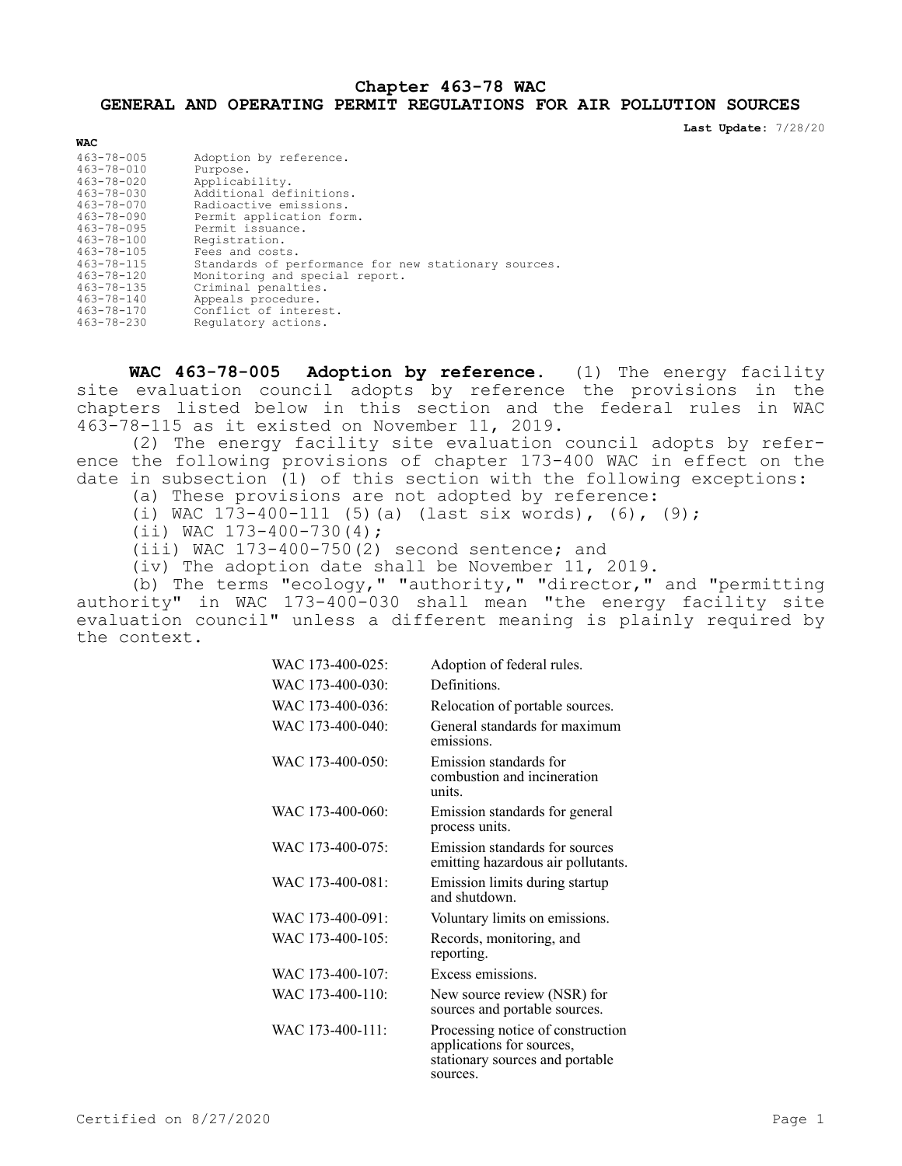# **Chapter 463-78 WAC GENERAL AND OPERATING PERMIT REGULATIONS FOR AIR POLLUTION SOURCES**

**Last Update:** 7/28/20

| <b>WAC</b>       |                                                      |
|------------------|------------------------------------------------------|
| $463 - 78 - 005$ | Adoption by reference.                               |
| $463 - 78 - 010$ | Purpose.                                             |
| $463 - 78 - 020$ | Applicability.                                       |
| $463 - 78 - 030$ | Additional definitions.                              |
| $463 - 78 - 070$ | Radioactive emissions.                               |
| $463 - 78 - 090$ | Permit application form.                             |
| $463 - 78 - 095$ | Permit issuance.                                     |
| $463 - 78 - 100$ | Registration.                                        |
| $463 - 78 - 105$ | Fees and costs.                                      |
| $463 - 78 - 115$ | Standards of performance for new stationary sources. |
| $463 - 78 - 120$ | Monitoring and special report.                       |
| $463 - 78 - 135$ | Criminal penalties.                                  |
| $463 - 78 - 140$ | Appeals procedure.                                   |
| $463 - 78 - 170$ | Conflict of interest.                                |
| $463 - 78 - 230$ | Regulatory actions.                                  |

**WAC 463-78-005 Adoption by reference.** (1) The energy facility site evaluation council adopts by reference the provisions in the chapters listed below in this section and the federal rules in WAC 463-78-115 as it existed on November 11, 2019.

(2) The energy facility site evaluation council adopts by reference the following provisions of chapter 173-400 WAC in effect on the date in subsection (1) of this section with the following exceptions:

(a) These provisions are not adopted by reference:

- (i) WAC 173-400-111 (5)(a) (last six words), (6), (9);
- $(iii)$  WAC  $173-400-730(4)$ ;

(iii) WAC 173-400-750(2) second sentence; and

(iv) The adoption date shall be November 11, 2019.

(b) The terms "ecology," "authority," "director," and "permitting authority" in WAC 173-400-030 shall mean "the energy facility site evaluation council" unless a different meaning is plainly required by the context.

| WAC 173-400-025: | Adoption of federal rules.                                                                                    |
|------------------|---------------------------------------------------------------------------------------------------------------|
| WAC 173-400-030: | Definitions.                                                                                                  |
| WAC 173-400-036: | Relocation of portable sources.                                                                               |
| WAC 173-400-040: | General standards for maximum<br>emissions.                                                                   |
| WAC 173-400-050: | Emission standards for<br>combustion and incineration<br>units.                                               |
| WAC 173-400-060: | Emission standards for general<br>process units.                                                              |
| WAC 173-400-075: | Emission standards for sources<br>emitting hazardous air pollutants.                                          |
| WAC 173-400-081: | Emission limits during startup<br>and shutdown.                                                               |
| WAC 173-400-091: | Voluntary limits on emissions.                                                                                |
| WAC 173-400-105: | Records, monitoring, and<br>reporting.                                                                        |
| WAC 173-400-107: | Excess emissions.                                                                                             |
| WAC 173-400-110: | New source review (NSR) for<br>sources and portable sources.                                                  |
| WAC 173-400-111: | Processing notice of construction<br>applications for sources,<br>stationary sources and portable<br>sources. |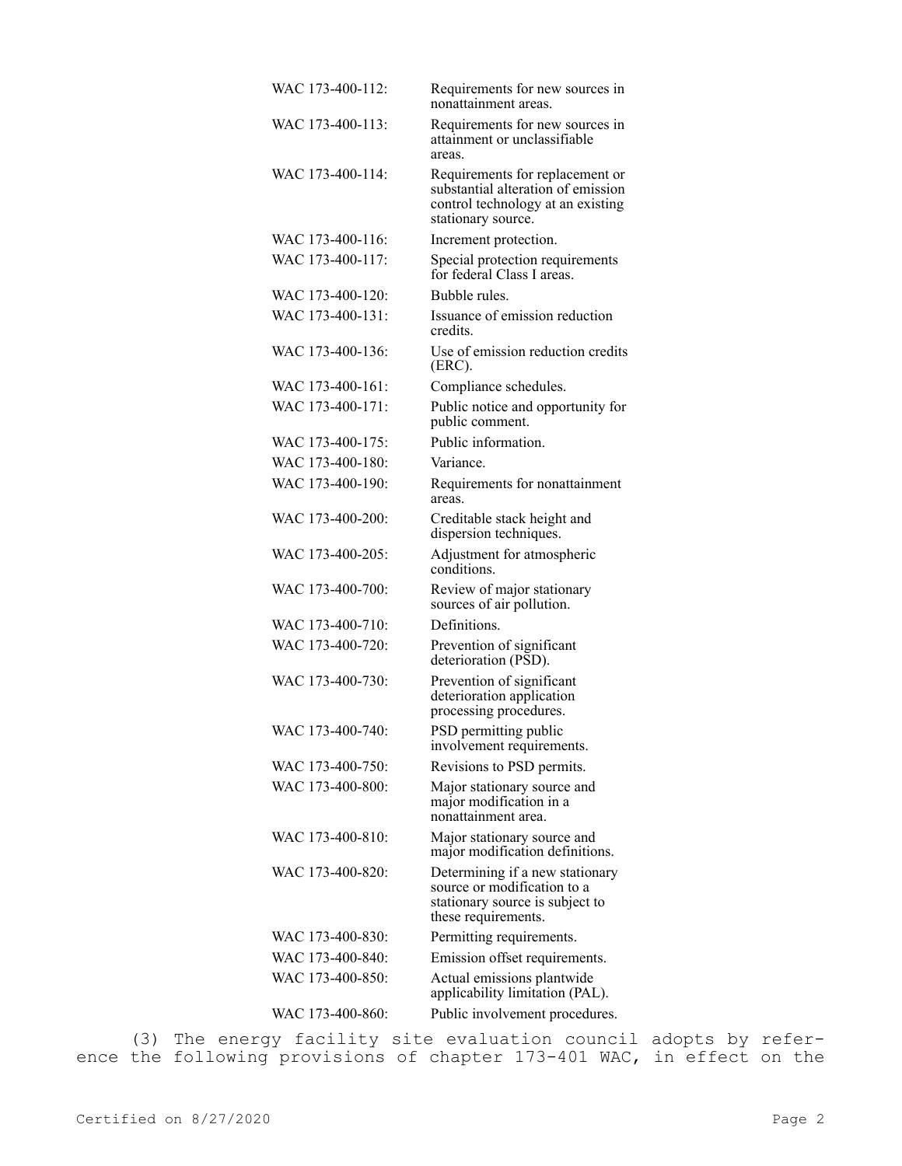| WAC 173-400-112: | Requirements for new sources in<br>nonattainment areas.                                                                          |
|------------------|----------------------------------------------------------------------------------------------------------------------------------|
| WAC 173-400-113: | Requirements for new sources in<br>attainment or unclassifiable<br>areas.                                                        |
| WAC 173-400-114: | Requirements for replacement or<br>substantial alteration of emission<br>control technology at an existing<br>stationary source. |
| WAC 173-400-116: | Increment protection.                                                                                                            |
| WAC 173-400-117: | Special protection requirements<br>for federal Class I areas.                                                                    |
| WAC 173-400-120: | Bubble rules.                                                                                                                    |
| WAC 173-400-131: | Issuance of emission reduction<br>credits.                                                                                       |
| WAC 173-400-136: | Use of emission reduction credits<br>$(ERC)$ .                                                                                   |
| WAC 173-400-161: | Compliance schedules.                                                                                                            |
| WAC 173-400-171: | Public notice and opportunity for<br>public comment.                                                                             |
| WAC 173-400-175: | Public information.                                                                                                              |
| WAC 173-400-180: | Variance.                                                                                                                        |
| WAC 173-400-190: | Requirements for nonattainment<br>areas.                                                                                         |
| WAC 173-400-200: | Creditable stack height and<br>dispersion techniques.                                                                            |
| WAC 173-400-205: | Adjustment for atmospheric<br>conditions.                                                                                        |
| WAC 173-400-700: | Review of major stationary<br>sources of air pollution.                                                                          |
| WAC 173-400-710: | Definitions.                                                                                                                     |
| WAC 173-400-720: | Prevention of significant<br>deterioration (PSD).                                                                                |
| WAC 173-400-730: | Prevention of significant<br>deterioration application<br>processing procedures.                                                 |
| WAC 173-400-740: | PSD permitting public<br>involvement requirements.                                                                               |
| WAC 173-400-750: | Revisions to PSD permits.                                                                                                        |
| WAC 173-400-800: | Major stationary source and<br>major modification in a<br>nonattainment area.                                                    |
| WAC 173-400-810: | Major stationary source and<br>major modification definitions.                                                                   |
| WAC 173-400-820: | Determining if a new stationary<br>source or modification to a<br>stationary source is subject to<br>these requirements.         |
| WAC 173-400-830: | Permitting requirements.                                                                                                         |
| WAC 173-400-840: | Emission offset requirements.                                                                                                    |
| WAC 173-400-850: | Actual emissions plantwide<br>applicability limitation (PAL).                                                                    |
| WAC 173-400-860: | Public involvement procedures.                                                                                                   |

(3) The energy facility site evaluation council adopts by reference the following provisions of chapter 173-401 WAC, in effect on the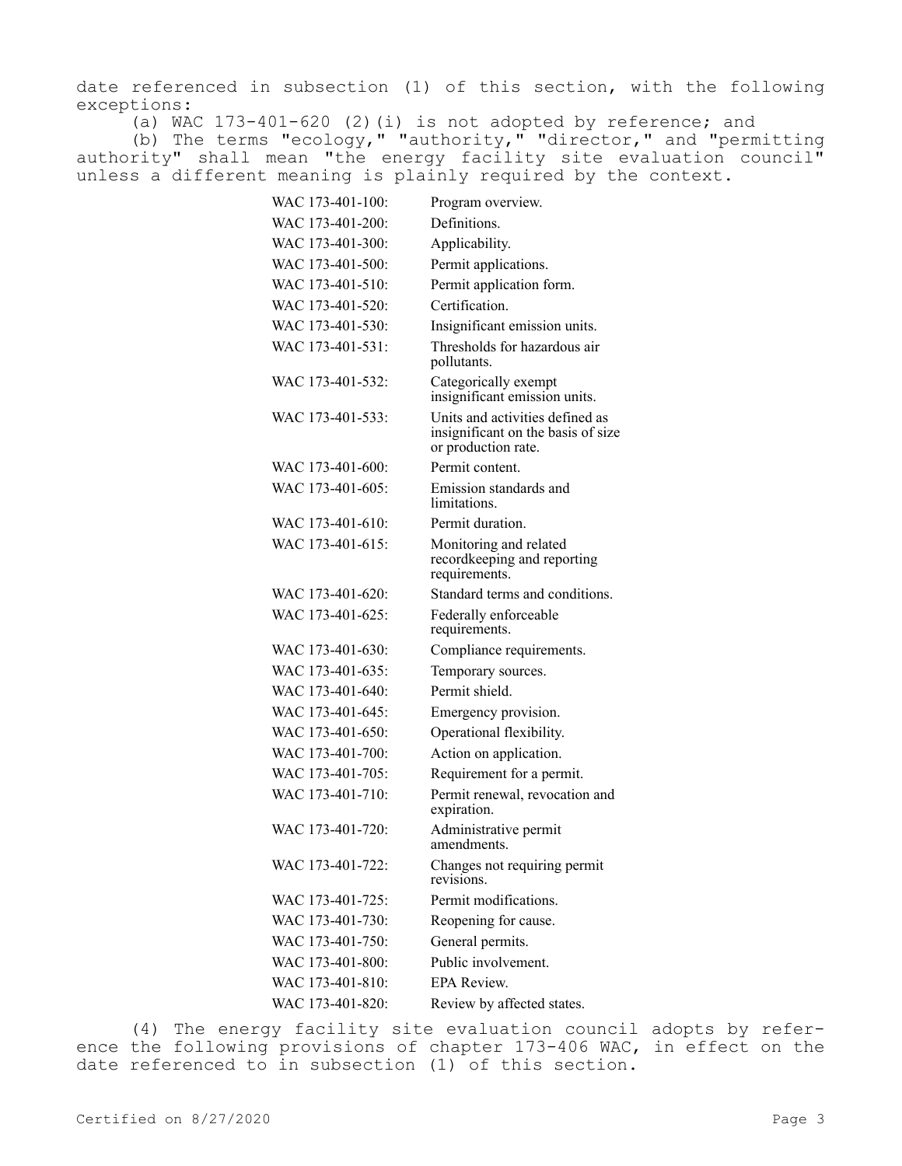date referenced in subsection (1) of this section, with the following exceptions:

(a) WAC 173-401-620 (2)(i) is not adopted by reference; and

(b) The terms "ecology," "authority," "director," and "permitting authority" shall mean "the energy facility site evaluation council" unless a different meaning is plainly required by the context.

| WAC 173-401-100: | Program overview.                                                                            |
|------------------|----------------------------------------------------------------------------------------------|
| WAC 173-401-200: | Definitions.                                                                                 |
| WAC 173-401-300: | Applicability.                                                                               |
| WAC 173-401-500: | Permit applications.                                                                         |
| WAC 173-401-510: | Permit application form.                                                                     |
| WAC 173-401-520: | Certification.                                                                               |
| WAC 173-401-530: | Insignificant emission units.                                                                |
| WAC 173-401-531: | Thresholds for hazardous air<br>pollutants.                                                  |
| WAC 173-401-532: | Categorically exempt<br>insignificant emission units.                                        |
| WAC 173-401-533: | Units and activities defined as<br>insignificant on the basis of size<br>or production rate. |
| WAC 173-401-600: | Permit content.                                                                              |
| WAC 173-401-605: | Emission standards and<br>limitations.                                                       |
| WAC 173-401-610: | Permit duration.                                                                             |
| WAC 173-401-615: | Monitoring and related<br>recordkeeping and reporting<br>requirements.                       |
| WAC 173-401-620: | Standard terms and conditions.                                                               |
| WAC 173-401-625: | Federally enforceable<br>requirements.                                                       |
| WAC 173-401-630: | Compliance requirements.                                                                     |
| WAC 173-401-635: | Temporary sources.                                                                           |
| WAC 173-401-640: | Permit shield.                                                                               |
| WAC 173-401-645: | Emergency provision.                                                                         |
| WAC 173-401-650: | Operational flexibility.                                                                     |
| WAC 173-401-700: | Action on application.                                                                       |
| WAC 173-401-705: | Requirement for a permit.                                                                    |
| WAC 173-401-710: | Permit renewal, revocation and<br>expiration.                                                |
| WAC 173-401-720: | Administrative permit<br>amendments.                                                         |
| WAC 173-401-722: | Changes not requiring permit<br>revisions.                                                   |
| WAC 173-401-725: | Permit modifications.                                                                        |
| WAC 173-401-730: | Reopening for cause.                                                                         |
| WAC 173-401-750: | General permits.                                                                             |
| WAC 173-401-800: | Public involvement.                                                                          |
| WAC 173-401-810: | <b>EPA Review.</b>                                                                           |
| WAC 173-401-820: | Review by affected states.                                                                   |

(4) The energy facility site evaluation council adopts by reference the following provisions of chapter 173-406 WAC, in effect on the date referenced to in subsection (1) of this section.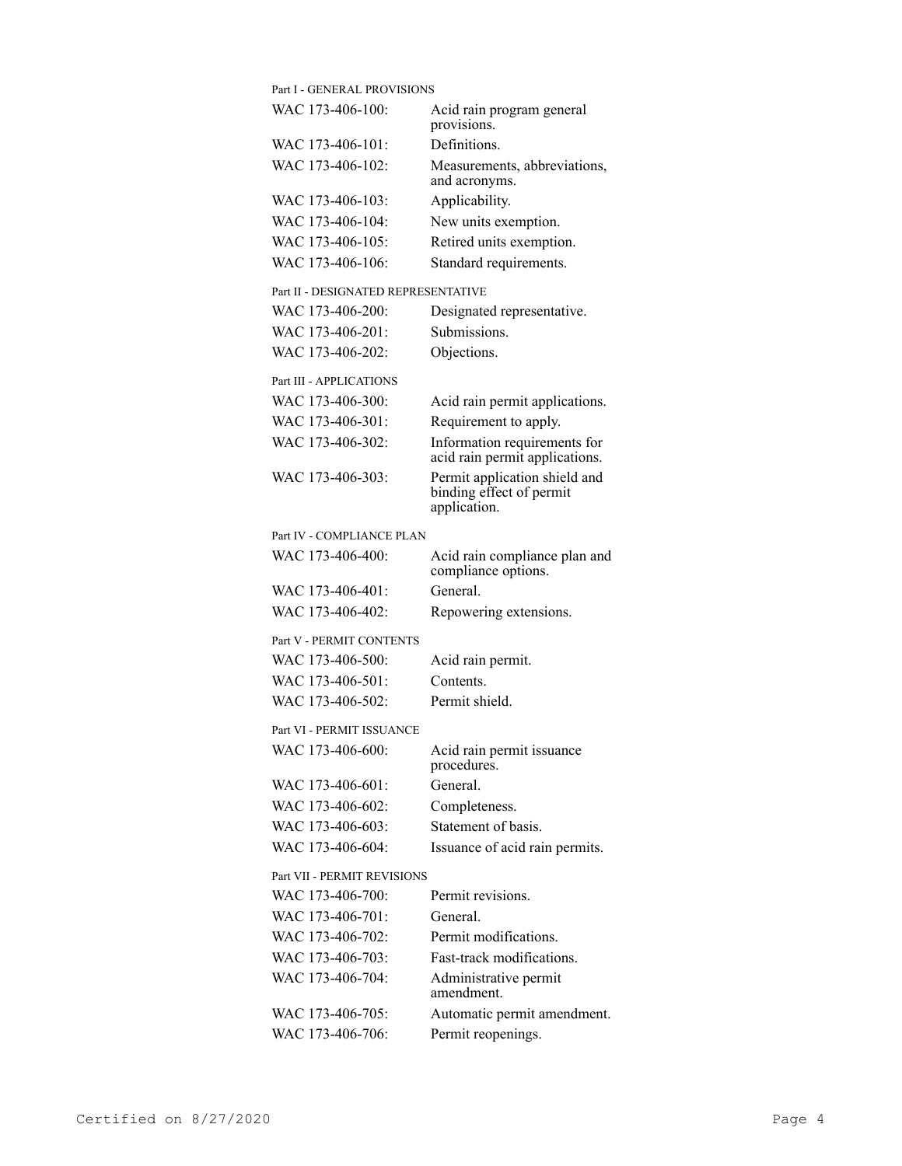| Part I - GENERAL PROVISIONS         |                                                                           |
|-------------------------------------|---------------------------------------------------------------------------|
| WAC 173-406-100:                    | Acid rain program general<br>provisions.                                  |
| WAC 173-406-101:                    | Definitions.                                                              |
| WAC 173-406-102:                    | Measurements, abbreviations,<br>and acronyms.                             |
| WAC 173-406-103:                    | Applicability.                                                            |
| WAC 173-406-104:                    | New units exemption.                                                      |
| WAC 173-406-105:                    | Retired units exemption.                                                  |
| WAC 173-406-106:                    | Standard requirements.                                                    |
| Part II - DESIGNATED REPRESENTATIVE |                                                                           |
| WAC 173-406-200:                    | Designated representative.                                                |
| WAC 173-406-201:                    | Submissions.                                                              |
| WAC 173-406-202:                    | Objections.                                                               |
| Part III - APPLICATIONS             |                                                                           |
| WAC 173-406-300:                    | Acid rain permit applications.                                            |
| WAC 173-406-301:                    | Requirement to apply.                                                     |
| WAC 173-406-302:                    | Information requirements for<br>acid rain permit applications.            |
| WAC 173-406-303:                    | Permit application shield and<br>binding effect of permit<br>application. |
| Part IV - COMPLIANCE PLAN           |                                                                           |
| WAC 173-406-400:                    | Acid rain compliance plan and<br>compliance options.                      |
| WAC 173-406-401:                    | General.                                                                  |
| WAC 173-406-402:                    | Repowering extensions.                                                    |
| Part V - PERMIT CONTENTS            |                                                                           |
| WAC 173-406-500:                    | Acid rain permit.                                                         |
| WAC 173-406-501:                    | Contents.                                                                 |
| WAC 173-406-502:                    | Permit shield.                                                            |
| Part VI - PERMIT ISSUANCE           |                                                                           |
| WAC 173-406-600:                    | Acid rain permit issuance<br>procedures.                                  |
| WAC 173-406-601:                    | General.                                                                  |
| WAC 173-406-602:                    | Completeness.                                                             |
| WAC 173-406-603:                    | Statement of basis.                                                       |
| WAC 173-406-604:                    | Issuance of acid rain permits.                                            |
| Part VII - PERMIT REVISIONS         |                                                                           |
| WAC 173-406-700:                    | Permit revisions.                                                         |
| WAC 173-406-701:                    | General.                                                                  |
| WAC 173-406-702:                    | Permit modifications.                                                     |
| WAC 173-406-703:                    | Fast-track modifications.                                                 |
| WAC 173-406-704:                    | Administrative permit<br>amendment.                                       |
| WAC 173-406-705:                    | Automatic permit amendment.                                               |
| WAC 173-406-706:                    | Permit reopenings.                                                        |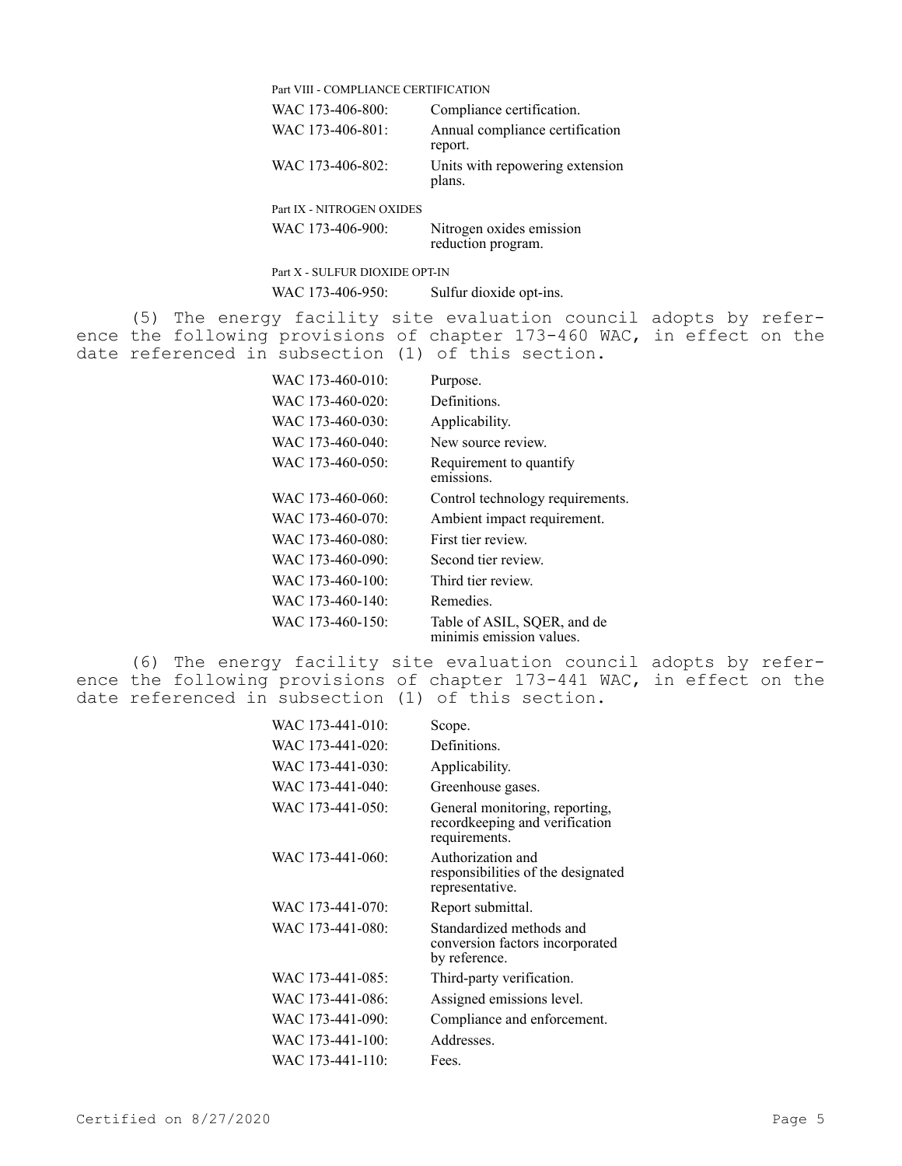|     |  | Part VIII - COMPLIANCE CERTIFICATION |  |                                                                                                                                                                                                  |
|-----|--|--------------------------------------|--|--------------------------------------------------------------------------------------------------------------------------------------------------------------------------------------------------|
|     |  | WAC 173-406-800:                     |  | Compliance certification.                                                                                                                                                                        |
|     |  | WAC 173-406-801:                     |  | Annual compliance certification<br>report.                                                                                                                                                       |
|     |  | WAC 173-406-802:                     |  | Units with repowering extension<br>plans.                                                                                                                                                        |
|     |  | Part IX - NITROGEN OXIDES            |  |                                                                                                                                                                                                  |
|     |  | WAC 173-406-900:                     |  | Nitrogen oxides emission<br>reduction program.                                                                                                                                                   |
|     |  | Part X - SULFUR DIOXIDE OPT-IN       |  |                                                                                                                                                                                                  |
|     |  | WAC 173-406-950:                     |  | Sulfur dioxide opt-ins.                                                                                                                                                                          |
|     |  |                                      |  | (5) The energy facility site evaluation council adopts by refer-<br>ence the following provisions of chapter 173-460 WAC, in effect on the<br>date referenced in subsection (1) of this section. |
|     |  | WAC 173-460-010:                     |  | Purpose.                                                                                                                                                                                         |
|     |  | WAC 173-460-020:                     |  | Definitions.                                                                                                                                                                                     |
|     |  | WAC 173-460-030:                     |  | Applicability.                                                                                                                                                                                   |
|     |  | WAC 173-460-040:                     |  | New source review.                                                                                                                                                                               |
|     |  | WAC 173-460-050:                     |  | Requirement to quantify<br>emissions.                                                                                                                                                            |
|     |  | WAC 173-460-060:                     |  | Control technology requirements.                                                                                                                                                                 |
|     |  | WAC 173-460-070:                     |  | Ambient impact requirement.                                                                                                                                                                      |
|     |  | WAC 173-460-080:                     |  | First tier review.                                                                                                                                                                               |
|     |  | WAC 173-460-090:                     |  | Second tier review.                                                                                                                                                                              |
|     |  | WAC 173-460-100:                     |  | Third tier review.                                                                                                                                                                               |
|     |  | WAC 173-460-140:                     |  | Remedies.                                                                                                                                                                                        |
|     |  | WAC 173-460-150:                     |  | Table of ASIL, SQER, and de<br>minimis emission values.                                                                                                                                          |
| (6) |  |                                      |  | The energy facility site evaluation council adopts by refer-                                                                                                                                     |

ence the following provisions of chapter 173-441 WAC, in effect on the date referenced in subsection (1) of this section.

| WAC 173-441-010: | Scope.                                                                            |
|------------------|-----------------------------------------------------------------------------------|
| WAC 173-441-020: | Definitions.                                                                      |
| WAC 173-441-030: | Applicability.                                                                    |
| WAC 173-441-040: | Greenhouse gases.                                                                 |
| WAC 173-441-050: | General monitoring, reporting,<br>recordkeeping and verification<br>requirements. |
| WAC 173-441-060: | Authorization and<br>responsibilities of the designated<br>representative.        |
| WAC 173-441-070: | Report submittal.                                                                 |
| WAC 173-441-080: | Standardized methods and<br>conversion factors incorporated<br>by reference.      |
| WAC 173-441-085: | Third-party verification.                                                         |
| WAC 173-441-086: | Assigned emissions level.                                                         |
| WAC 173-441-090: | Compliance and enforcement.                                                       |
| WAC 173-441-100: | Addresses.                                                                        |
| WAC 173-441-110: | Fees.                                                                             |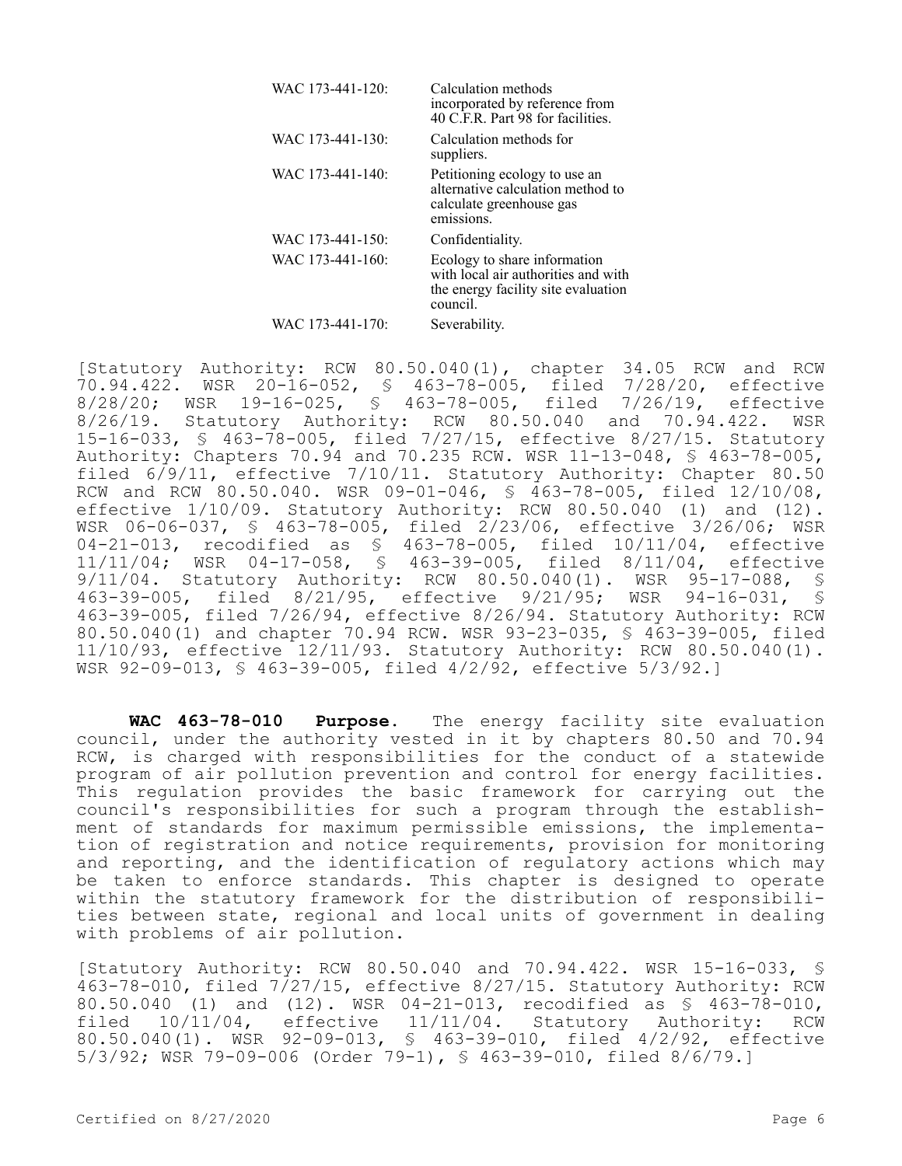| WAC 173-441-120: | Calculation methods<br>incorporated by reference from<br>40 C.F.R. Part 98 for facilities.                             |
|------------------|------------------------------------------------------------------------------------------------------------------------|
| WAC 173-441-130: | Calculation methods for<br>suppliers.                                                                                  |
| WAC 173-441-140: | Petitioning ecology to use an<br>alternative calculation method to<br>calculate greenhouse gas<br>emissions.           |
| WAC 173-441-150: | Confidentiality.                                                                                                       |
| WAC 173-441-160: | Ecology to share information<br>with local air authorities and with<br>the energy facility site evaluation<br>council. |
| WAC 173-441-170: | Severability.                                                                                                          |

[Statutory Authority: RCW 80.50.040(1), chapter 34.05 RCW and RCW 70.94.422. WSR 20-16-052, § 463-78-005, filed 7/28/20, effective 8/28/20; WSR 19-16-025, § 463-78-005, filed 7/26/19, effective 8/26/19. Statutory Authority: RCW 80.50.040 and 70.94.422. WSR 15-16-033, § 463-78-005, filed 7/27/15, effective 8/27/15. Statutory Authority: Chapters 70.94 and 70.235 RCW. WSR 11-13-048, § 463-78-005, filed 6/9/11, effective 7/10/11. Statutory Authority: Chapter 80.50 RCW and RCW 80.50.040. WSR 09-01-046, § 463-78-005, filed 12/10/08, effective 1/10/09. Statutory Authority: RCW 80.50.040 (1) and (12). WSR 06-06-037, § 463-78-005, filed 2/23/06, effective 3/26/06; WSR 04-21-013, recodified as § 463-78-005, filed 10/11/04, effective 11/11/04; WSR 04-17-058, § 463-39-005, filed 8/11/04, effective 9/11/04. Statutory Authority: RCW 80.50.040(1). WSR 95-17-088, §<br>463-39-005, filed 8/21/95, effective 9/21/95; WSR 94-16-031, § 463-39-005, filed 8/21/95, effective 9/21/95; WSR 94-16-031, § 463-39-005, filed 7/26/94, effective 8/26/94. Statutory Authority: RCW 80.50.040(1) and chapter 70.94 RCW. WSR 93-23-035, § 463-39-005, filed 11/10/93, effective 12/11/93. Statutory Authority: RCW 80.50.040(1). WSR 92-09-013, § 463-39-005, filed 4/2/92, effective 5/3/92.]

**WAC 463-78-010 Purpose.** The energy facility site evaluation council, under the authority vested in it by chapters 80.50 and 70.94 RCW, is charged with responsibilities for the conduct of a statewide program of air pollution prevention and control for energy facilities. This regulation provides the basic framework for carrying out the council's responsibilities for such a program through the establishment of standards for maximum permissible emissions, the implementation of registration and notice requirements, provision for monitoring and reporting, and the identification of regulatory actions which may be taken to enforce standards. This chapter is designed to operate within the statutory framework for the distribution of responsibilities between state, regional and local units of government in dealing with problems of air pollution.

[Statutory Authority: RCW 80.50.040 and 70.94.422. WSR 15-16-033, § 463-78-010, filed 7/27/15, effective 8/27/15. Statutory Authority: RCW 80.50.040 (1) and (12). WSR 04-21-013, recodified as § 463-78-010, filed 10/11/04, effective 11/11/04. Statutory Authority: RCW 80.50.040(1). WSR 92-09-013, § 463-39-010, filed 4/2/92, effective 5/3/92; WSR 79-09-006 (Order 79-1), § 463-39-010, filed 8/6/79.]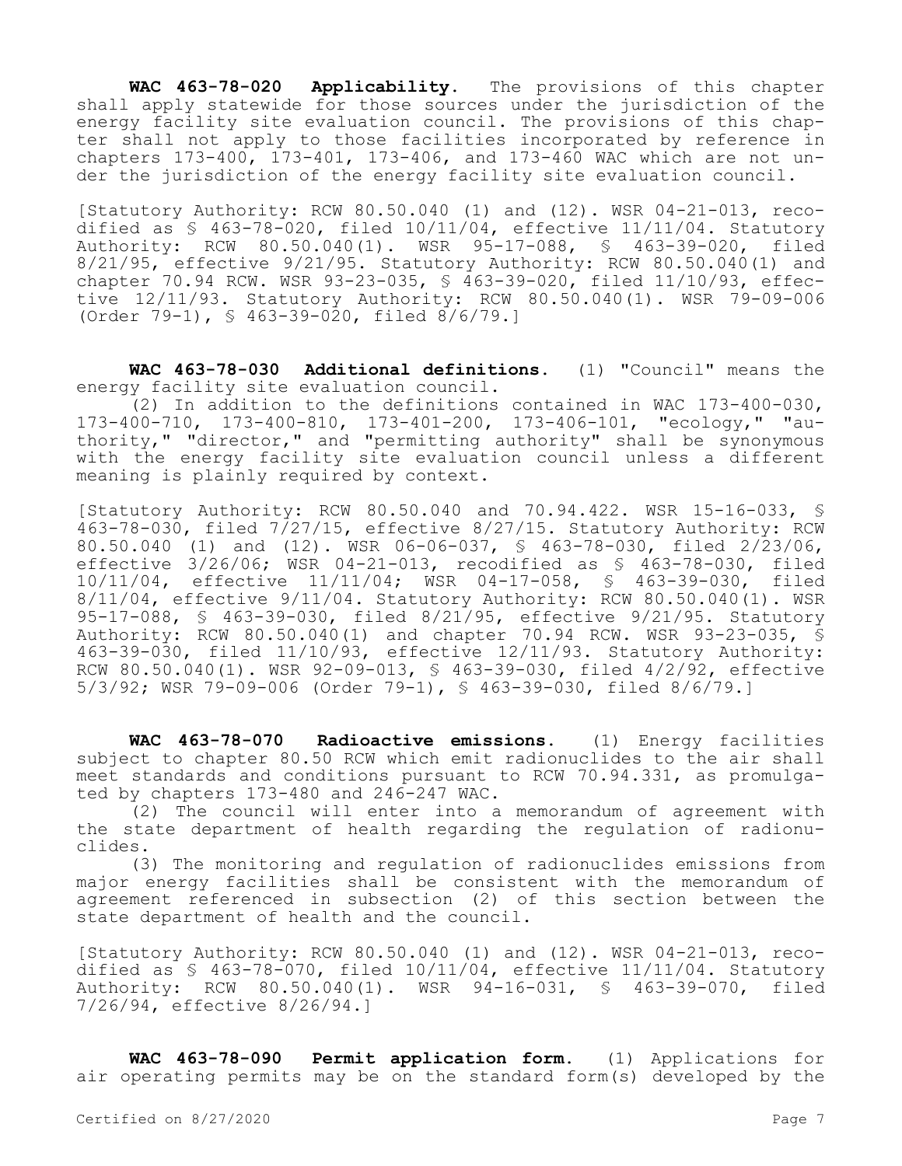**WAC 463-78-020 Applicability.** The provisions of this chapter shall apply statewide for those sources under the jurisdiction of the energy facility site evaluation council. The provisions of this chapter shall not apply to those facilities incorporated by reference in chapters  $173-400$ ,  $173-401$ ,  $173-406$ , and  $173-460$  WAC which are not under the jurisdiction of the energy facility site evaluation council.

[Statutory Authority: RCW 80.50.040 (1) and (12). WSR 04-21-013, recodified as  $\frac{1}{2}$  463-78-020, filed 10/11/04, effective 11/11/04. Statutory Authority: RCW 80.50.040(1). WSR 95-17-088, § 463-39-020, filed 8/21/95, effective 9/21/95. Statutory Authority: RCW 80.50.040(1) and chapter 70.94 RCW. WSR 93-23-035, § 463-39-020, filed 11/10/93, effective 12/11/93. Statutory Authority: RCW 80.50.040(1). WSR 79-09-006 (Order 79-1), § 463-39-020, filed 8/6/79.]

**WAC 463-78-030 Additional definitions.** (1) "Council" means the energy facility site evaluation council.

 $(2)$  In addition to the definitions contained in WAC 173-400-030, 173-400-710, 173-400-810, 173-401-200, 173-406-101, "ecology," "authority," "director," and "permitting authority" shall be synonymous with the energy facility site evaluation council unless a different meaning is plainly required by context.

[Statutory Authority: RCW 80.50.040 and 70.94.422. WSR 15-16-033, § 463-78-030, filed  $7/27/15$ , effective 8/27/15. Statutory Authority: RCW 80.50.040 (1) and (12). WSR 06-06-037, § 463-78-030, filed 2/23/06, effective 3/26/06; WSR 04-21-013, recodified as § 463-78-030, filed 10/11/04, effective 11/11/04; WSR 04-17-058, § 463-39-030, filed 8/11/04, effective 9/11/04. Statutory Authority: RCW 80.50.040(1). WSR 95-17-088, § 463-39-030, filed 8/21/95, effective 9/21/95. Statutory Authority: RCW 80.50.040(1) and chapter 70.94 RCW. WSR 93-23-035, § 463-39-030, filed 11/10/93, effective 12/11/93. Statutory Authority: RCW 80.50.040(1). WSR 92-09-013, § 463-39-030, filed 4/2/92, effective 5/3/92; WSR 79-09-006 (Order 79-1), § 463-39-030, filed 8/6/79.]

**WAC 463-78-070 Radioactive emissions.** (1) Energy facilities subject to chapter 80.50 RCW which emit radionuclides to the air shall meet standards and conditions pursuant to RCW 70.94.331, as promulgated by chapters 173-480 and 246-247 WAC.

(2) The council will enter into a memorandum of agreement with the state department of health regarding the regulation of radionuclides.

(3) The monitoring and regulation of radionuclides emissions from major energy facilities shall be consistent with the memorandum of agreement referenced in subsection (2) of this section between the state department of health and the council.

[Statutory Authority: RCW 80.50.040 (1) and (12). WSR 04-21-013, recodified as § 463-78-070, filed 10/11/04, effective 11/11/04. Statutory Authority: RCW 80.50.040(1). WSR 94-16-031, § 463-39-070, filed 7/26/94, effective 8/26/94.]

**WAC 463-78-090 Permit application form.** (1) Applications for air operating permits may be on the standard form(s) developed by the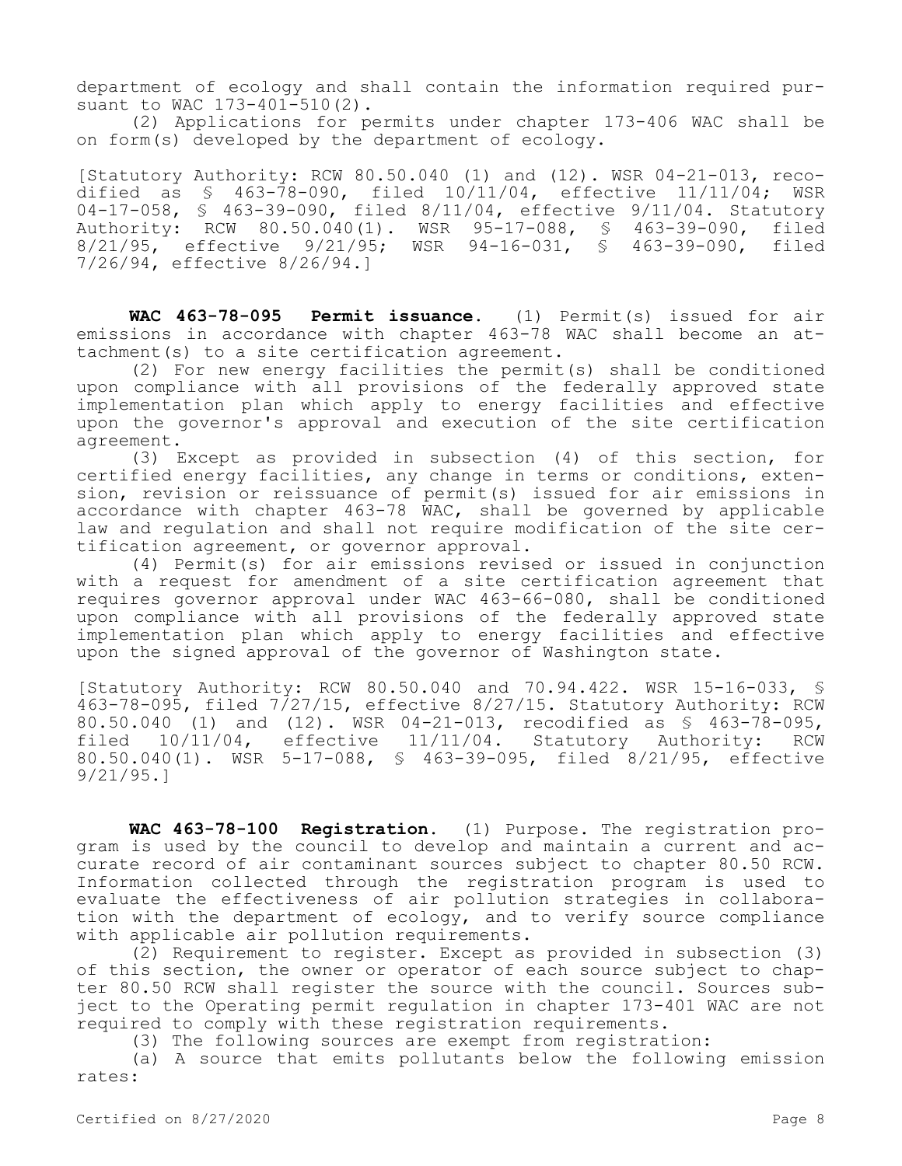department of ecology and shall contain the information required pursuant to WAC 173-401-510(2).

(2) Applications for permits under chapter 173-406 WAC shall be on form(s) developed by the department of ecology.

[Statutory Authority: RCW 80.50.040 (1) and (12). WSR 04-21-013, recodified as § 463-78-090, filed 10/11/04, effective 11/11/04; WSR 04-17-058, § 463-39-090, filed 8/11/04, effective 9/11/04. Statutory Authority: RCW 80.50.040(1). WSR 95-17-088, § 463-39-090, filed 8/21/95, effective 9/21/95; WSR 94-16-031, § 463-39-090, filed 7/26/94, effective 8/26/94.]

**WAC 463-78-095 Permit issuance.** (1) Permit(s) issued for air emissions in accordance with chapter 463-78 WAC shall become an attachment(s) to a site certification agreement.

(2) For new energy facilities the permit(s) shall be conditioned upon compliance with all provisions of the federally approved state implementation plan which apply to energy facilities and effective upon the governor's approval and execution of the site certification agreement.

(3) Except as provided in subsection (4) of this section, for certified energy facilities, any change in terms or conditions, extension, revision or reissuance of permit(s) issued for air emissions in accordance with chapter 463-78 WAC, shall be governed by applicable law and regulation and shall not require modification of the site certification agreement, or governor approval.

(4) Permit(s) for air emissions revised or issued in conjunction with a request for amendment of a site certification agreement that requires governor approval under WAC 463-66-080, shall be conditioned upon compliance with all provisions of the federally approved state implementation plan which apply to energy facilities and effective upon the signed approval of the governor of Washington state.

[Statutory Authority: RCW 80.50.040 and 70.94.422. WSR 15-16-033, § 463-78-095, filed  $7/27/15$ , effective 8/27/15. Statutory Authority: RCW 80.50.040 (1) and (12). WSR 04-21-013, recodified as § 463-78-095, filed 10/11/04, effective 11/11/04. Statutory Authority: RCW 80.50.040(1). WSR 5-17-088, § 463-39-095, filed 8/21/95, effective 9/21/95.]

**WAC 463-78-100 Registration.** (1) Purpose. The registration program is used by the council to develop and maintain a current and accurate record of air contaminant sources subject to chapter 80.50 RCW. Information collected through the registration program is used to evaluate the effectiveness of air pollution strategies in collaboration with the department of ecology, and to verify source compliance with applicable air pollution requirements.

(2) Requirement to register. Except as provided in subsection (3) of this section, the owner or operator of each source subject to chapter 80.50 RCW shall register the source with the council. Sources subject to the Operating permit regulation in chapter 173-401 WAC are not required to comply with these registration requirements.

(3) The following sources are exempt from registration:

(a) A source that emits pollutants below the following emission rates: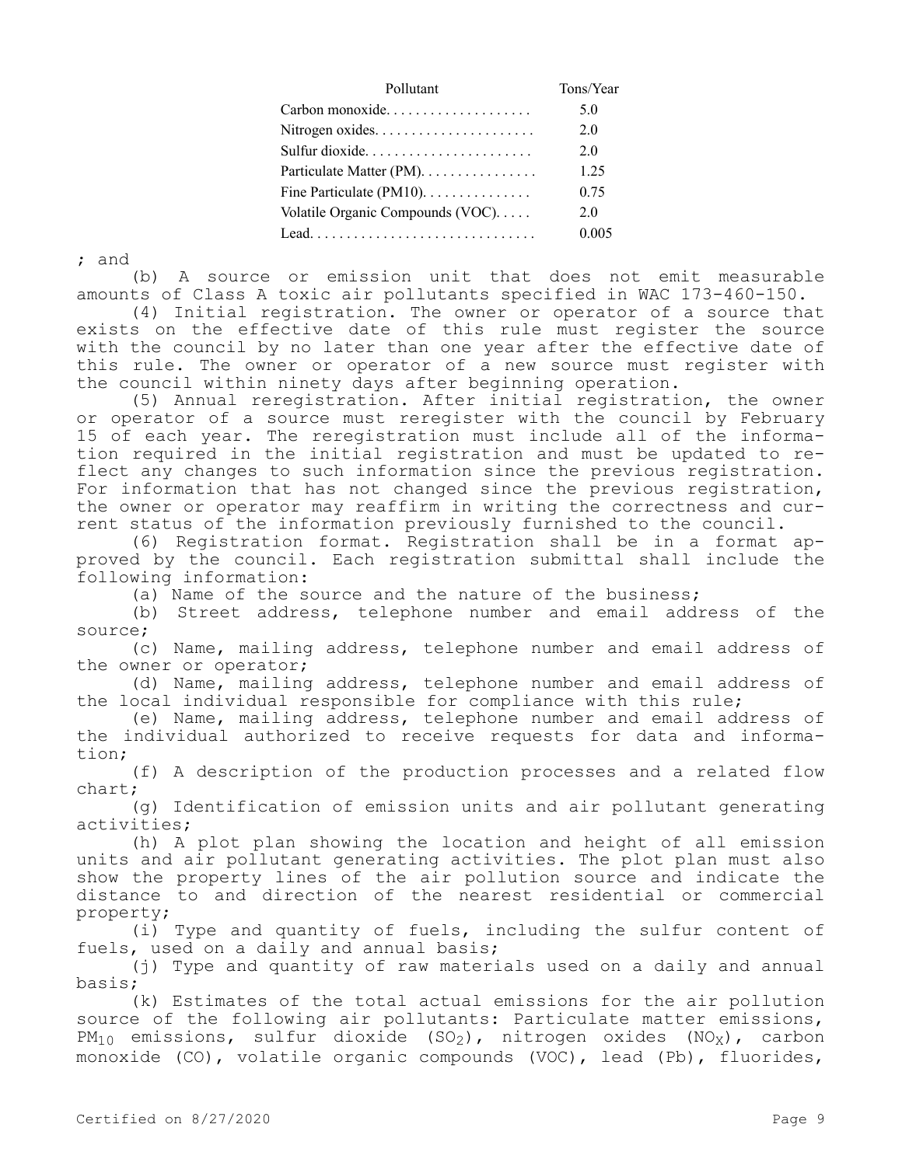| Pollutant                                                                 | Tons/Year |
|---------------------------------------------------------------------------|-----------|
| $Carbon monoxide. \ldots \ldots \ldots \ldots \ldots$                     | 5.0       |
|                                                                           | 2.0       |
| Sulfur dioxide                                                            | 2.0       |
| Particulate Matter (PM).                                                  | 1.25      |
| Fine Particulate (PM10). $\dots \dots \dots \dots$                        | 0.75      |
| Volatile Organic Compounds (VOC).                                         | 2.0       |
| $\text{Lead} \dots \dots \dots \dots \dots \dots \dots \dots \dots \dots$ | 0.005     |

; and

(b) A source or emission unit that does not emit measurable amounts of Class A toxic air pollutants specified in WAC 173-460-150.

(4) Initial registration. The owner or operator of a source that exists on the effective date of this rule must register the source with the council by no later than one year after the effective date of this rule. The owner or operator of a new source must register with the council within ninety days after beginning operation.

(5) Annual reregistration. After initial registration, the owner or operator of a source must reregister with the council by February 15 of each year. The reregistration must include all of the information required in the initial registration and must be updated to reflect any changes to such information since the previous registration. For information that has not changed since the previous registration, the owner or operator may reaffirm in writing the correctness and current status of the information previously furnished to the council.

(6) Registration format. Registration shall be in a format approved by the council. Each registration submittal shall include the following information:

(a) Name of the source and the nature of the business;

(b) Street address, telephone number and email address of the source;

(c) Name, mailing address, telephone number and email address of the owner or operator;

(d) Name, mailing address, telephone number and email address of the local individual responsible for compliance with this rule;

(e) Name, mailing address, telephone number and email address of the individual authorized to receive requests for data and information;

(f) A description of the production processes and a related flow chart;

(g) Identification of emission units and air pollutant generating activities;

(h) A plot plan showing the location and height of all emission units and air pollutant generating activities. The plot plan must also show the property lines of the air pollution source and indicate the distance to and direction of the nearest residential or commercial property;

(i) Type and quantity of fuels, including the sulfur content of fuels, used on a daily and annual basis;

(j) Type and quantity of raw materials used on a daily and annual basis;

(k) Estimates of the total actual emissions for the air pollution source of the following air pollutants: Particulate matter emissions,  $PM_{10}$  emissions, sulfur dioxide (SO<sub>2</sub>), nitrogen oxides (NO<sub>X</sub>), carbon monoxide (CO), volatile organic compounds (VOC), lead (Pb), fluorides,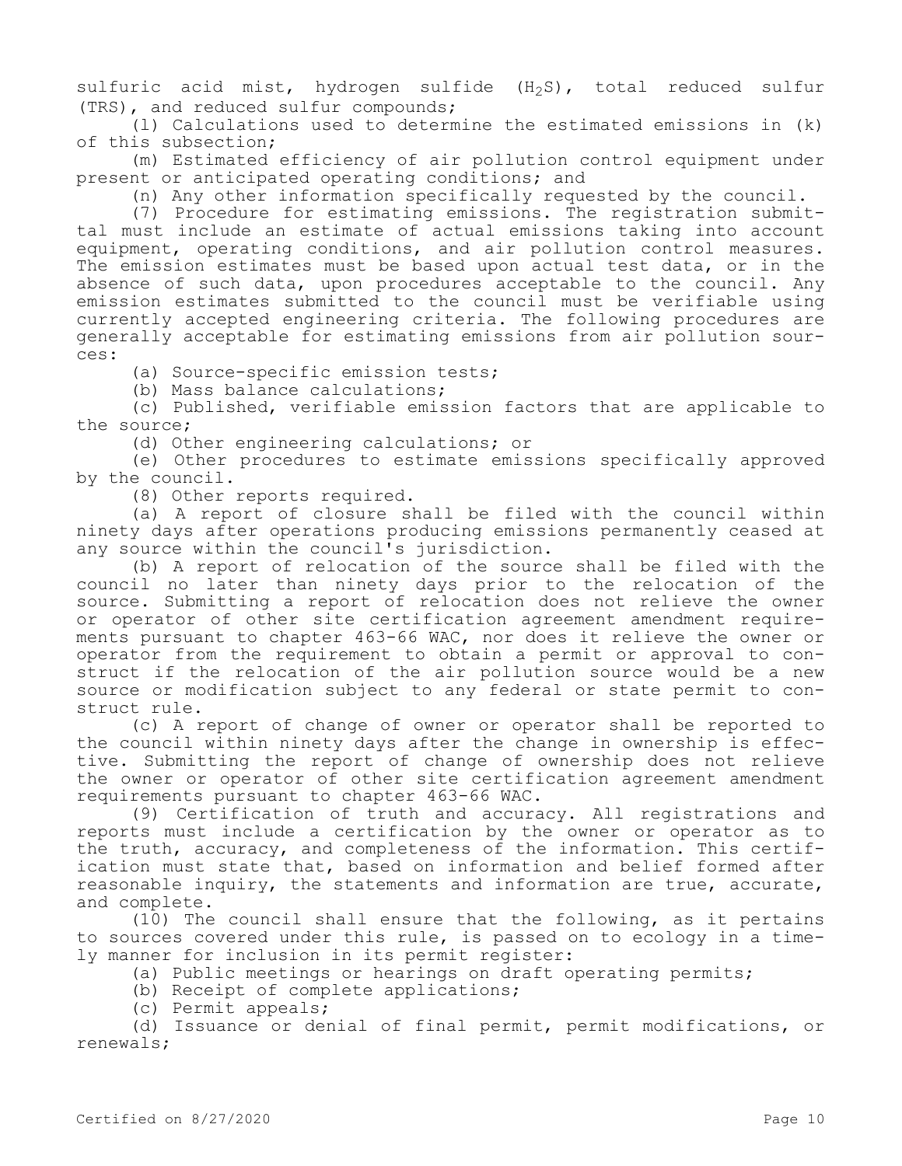sulfuric acid mist, hydrogen sulfide  $(H_2S)$ , total reduced sulfur (TRS), and reduced sulfur compounds;

(l) Calculations used to determine the estimated emissions in (k) of this subsection;

(m) Estimated efficiency of air pollution control equipment under present or anticipated operating conditions; and

(n) Any other information specifically requested by the council.

(7) Procedure for estimating emissions. The registration submittal must include an estimate of actual emissions taking into account equipment, operating conditions, and air pollution control measures. The emission estimates must be based upon actual test data, or in the absence of such data, upon procedures acceptable to the council. Any emission estimates submitted to the council must be verifiable using currently accepted engineering criteria. The following procedures are generally acceptable for estimating emissions from air pollution sources:

(a) Source-specific emission tests;

(b) Mass balance calculations;

(c) Published, verifiable emission factors that are applicable to the source;

(d) Other engineering calculations; or

(e) Other procedures to estimate emissions specifically approved by the council.

(8) Other reports required.

(a) A report of closure shall be filed with the council within ninety days after operations producing emissions permanently ceased at any source within the council's jurisdiction.

(b) A report of relocation of the source shall be filed with the council no later than ninety days prior to the relocation of the source. Submitting a report of relocation does not relieve the owner or operator of other site certification agreement amendment requirements pursuant to chapter 463-66 WAC, nor does it relieve the owner or operator from the requirement to obtain a permit or approval to construct if the relocation of the air pollution source would be a new source or modification subject to any federal or state permit to construct rule.

(c) A report of change of owner or operator shall be reported to the council within ninety days after the change in ownership is effective. Submitting the report of change of ownership does not relieve the owner or operator of other site certification agreement amendment requirements pursuant to chapter 463-66 WAC.

(9) Certification of truth and accuracy. All registrations and reports must include a certification by the owner or operator as to the truth, accuracy, and completeness of the information. This certification must state that, based on information and belief formed after reasonable inquiry, the statements and information are true, accurate, and complete.

(10) The council shall ensure that the following, as it pertains to sources covered under this rule, is passed on to ecology in a timely manner for inclusion in its permit register:

(a) Public meetings or hearings on draft operating permits;

(b) Receipt of complete applications;

(c) Permit appeals;

(d) Issuance or denial of final permit, permit modifications, or renewals;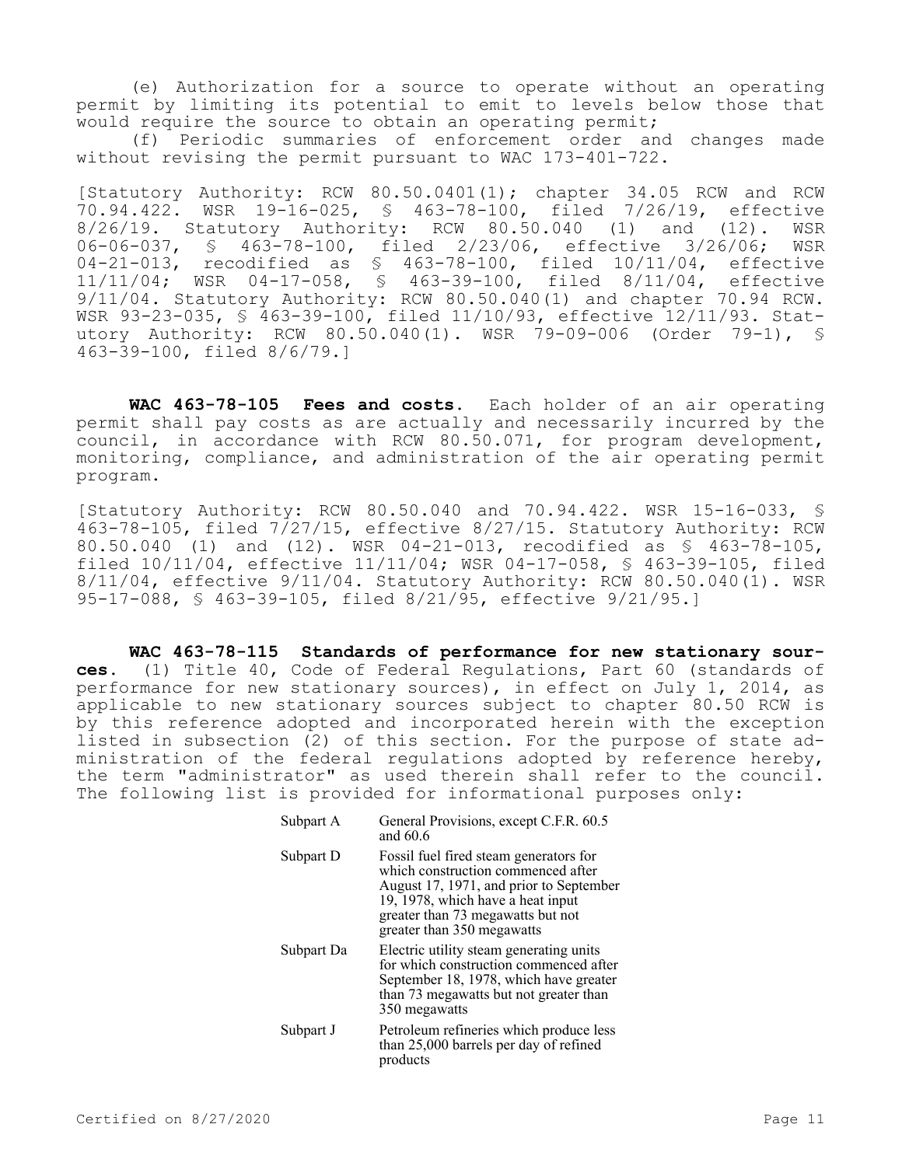(e) Authorization for a source to operate without an operating permit by limiting its potential to emit to levels below those that would require the source to obtain an operating permit;

(f) Periodic summaries of enforcement order and changes made without revising the permit pursuant to WAC 173-401-722.

[Statutory Authority: RCW 80.50.0401(1); chapter 34.05 RCW and RCW 70.94.422. WSR 19-16-025, § 463-78-100, filed 7/26/19, effective 8/26/19. Statutory Authority: RCW 80.50.040 (1) and (12). WSR 06-06-037, § 463-78-100, filed 2/23/06, effective 3/26/06; WSR 04-21-013, recodified as § 463-78-100, filed 10/11/04, effective 11/11/04; WSR 04-17-058, § 463-39-100, filed 8/11/04, effective 9/11/04. Statutory Authority: RCW 80.50.040(1) and chapter 70.94 RCW. WSR 93-23-035, § 463-39-100, filed 11/10/93, effective 12/11/93. Statutory Authority: RCW 80.50.040(1). WSR 79-09-006 (Order 79-1), § 463-39-100, filed 8/6/79.]

**WAC 463-78-105 Fees and costs.** Each holder of an air operating permit shall pay costs as are actually and necessarily incurred by the council, in accordance with RCW 80.50.071, for program development, monitoring, compliance, and administration of the air operating permit program.

[Statutory Authority: RCW 80.50.040 and 70.94.422. WSR 15-16-033, § 463-78-105, filed 7/27/15, effective 8/27/15. Statutory Authority: RCW 80.50.040 (1) and (12). WSR 04-21-013, recodified as § 463-78-105, filed 10/11/04, effective 11/11/04; WSR 04-17-058, § 463-39-105, filed 8/11/04, effective 9/11/04. Statutory Authority: RCW 80.50.040(1). WSR 95-17-088, § 463-39-105, filed 8/21/95, effective 9/21/95.]

**WAC 463-78-115 Standards of performance for new stationary sources.** (1) Title 40, Code of Federal Regulations, Part 60 (standards of performance for new stationary sources), in effect on July 1, 2014, as applicable to new stationary sources subject to chapter 80.50 RCW is by this reference adopted and incorporated herein with the exception listed in subsection (2) of this section. For the purpose of state administration of the federal regulations adopted by reference hereby, the term "administrator" as used therein shall refer to the council. The following list is provided for informational purposes only:

| Subpart A  | General Provisions, except C.F.R. 60.5<br>and 60.6                                                                                                                                                                              |
|------------|---------------------------------------------------------------------------------------------------------------------------------------------------------------------------------------------------------------------------------|
| Subpart D  | Fossil fuel fired steam generators for<br>which construction commenced after<br>August 17, 1971, and prior to September<br>19, 1978, which have a heat input<br>greater than 73 megawatts but not<br>greater than 350 megawatts |
| Subpart Da | Electric utility steam generating units<br>for which construction commenced after<br>September 18, 1978, which have greater<br>than 73 megawatts but not greater than<br>350 megawatts                                          |
| Subpart J  | Petroleum refineries which produce less<br>than 25,000 barrels per day of refined<br>products                                                                                                                                   |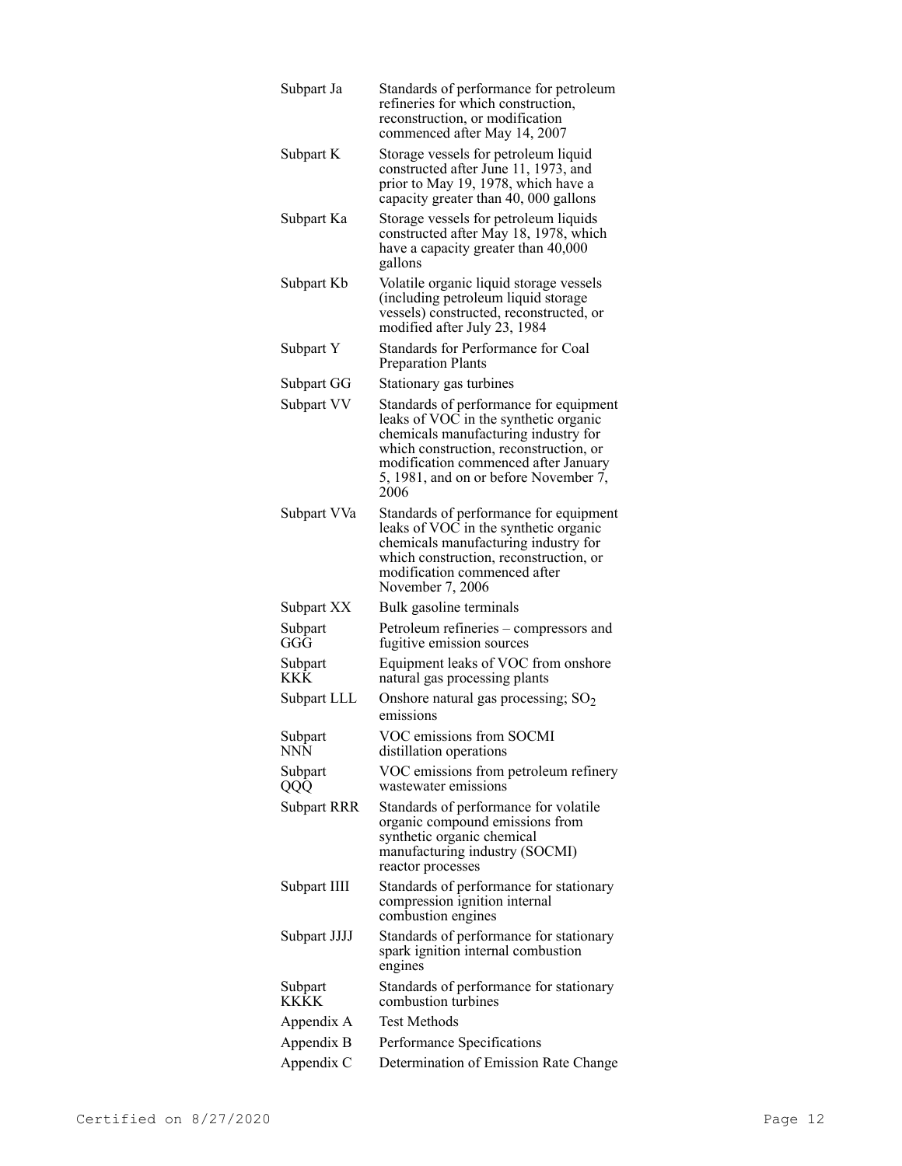| Subpart Ja         | Standards of performance for petroleum<br>refineries for which construction,<br>reconstruction, or modification<br>commenced after May 14, 2007                                                                                                            |
|--------------------|------------------------------------------------------------------------------------------------------------------------------------------------------------------------------------------------------------------------------------------------------------|
| Subpart K          | Storage vessels for petroleum liquid<br>constructed after June 11, 1973, and<br>prior to May 19, 1978, which have a<br>capacity greater than 40, 000 gallons                                                                                               |
| Subpart Ka         | Storage vessels for petroleum liquids<br>constructed after May 18, 1978, which<br>have a capacity greater than 40,000<br>gallons                                                                                                                           |
| Subpart Kb         | Volatile organic liquid storage vessels<br>(including petroleum liquid storage<br>vessels) constructed, reconstructed, or<br>modified after July 23, 1984                                                                                                  |
| Subpart Y          | Standards for Performance for Coal<br><b>Preparation Plants</b>                                                                                                                                                                                            |
| Subpart GG         | Stationary gas turbines                                                                                                                                                                                                                                    |
| Subpart VV         | Standards of performance for equipment<br>leaks of VOC in the synthetic organic<br>chemicals manufacturing industry for<br>which construction, reconstruction, or<br>modification commenced after January<br>5, 1981, and on or before November 7,<br>2006 |
| Subpart VVa        | Standards of performance for equipment<br>leaks of VOC in the synthetic organic<br>chemicals manufacturing industry for<br>which construction, reconstruction, or<br>modification commenced after<br>November 7, 2006                                      |
| Subpart XX         | Bulk gasoline terminals                                                                                                                                                                                                                                    |
| Subpart<br>GGG     | Petroleum refineries - compressors and<br>fugitive emission sources                                                                                                                                                                                        |
| Subpart<br>KKK     | Equipment leaks of VOC from onshore<br>natural gas processing plants                                                                                                                                                                                       |
| Subpart LLL        | Onshore natural gas processing; SO <sub>2</sub><br>emissions                                                                                                                                                                                               |
| Subpart<br>NNN     | VOC emissions from SOCMI<br>distillation operations                                                                                                                                                                                                        |
| Subpart<br>QQQ     | VOC emissions from petroleum refinery<br>wastewater emissions                                                                                                                                                                                              |
| <b>Subpart RRR</b> | Standards of performance for volatile<br>organic compound emissions from<br>synthetic organic chemical<br>manufacturing industry (SOCMI)<br>reactor processes                                                                                              |
| Subpart IIII       | Standards of performance for stationary<br>compression ignition internal<br>combustion engines                                                                                                                                                             |
| Subpart JJJJ       | Standards of performance for stationary<br>spark ignition internal combustion<br>engines                                                                                                                                                                   |
| Subpart<br>KKKK    | Standards of performance for stationary<br>combustion turbines                                                                                                                                                                                             |
| Appendix A         | <b>Test Methods</b>                                                                                                                                                                                                                                        |
| Appendix B         | Performance Specifications                                                                                                                                                                                                                                 |
| Appendix C         | Determination of Emission Rate Change                                                                                                                                                                                                                      |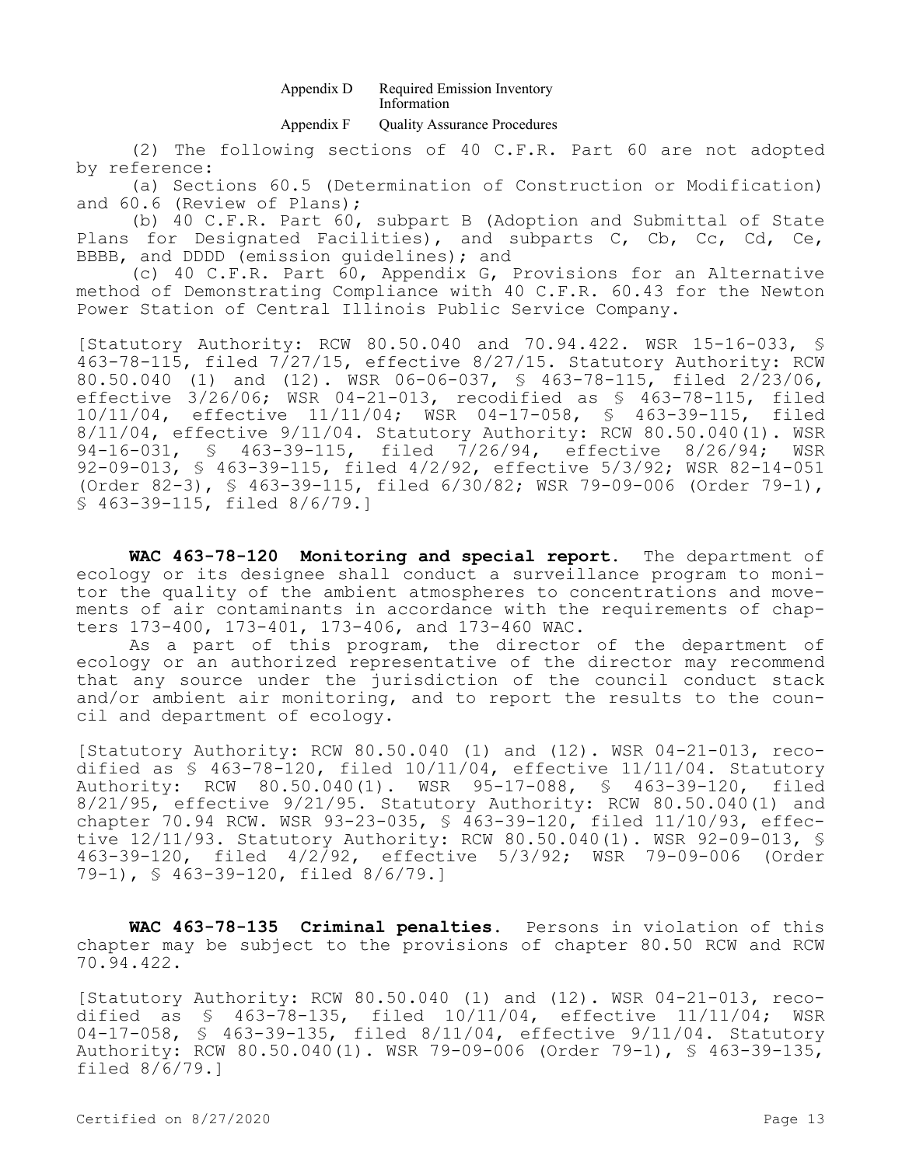#### Appendix D Required Emission Inventory Information

### Appendix F Quality Assurance Procedures

(2) The following sections of 40 C.F.R. Part 60 are not adopted by reference:

(a) Sections 60.5 (Determination of Construction or Modification) and 60.6 (Review of Plans);

(b) 40 C.F.R. Part 60, subpart B (Adoption and Submittal of State Plans for Designated Facilities), and subparts C, Cb, Cc, Cd, Ce, BBBB, and DDDD (emission guidelines); and

(c) 40 C.F.R. Part 60, Appendix G, Provisions for an Alternative method of Demonstrating Compliance with 40 C.F.R. 60.43 for the Newton Power Station of Central Illinois Public Service Company.

[Statutory Authority: RCW 80.50.040 and 70.94.422. WSR 15-16-033, § 463-78-115, filed 7/27/15, effective 8/27/15. Statutory Authority: RCW 80.50.040 (1) and (12). WSR 06-06-037, § 463-78-115, filed 2/23/06, effective 3/26/06; WSR 04-21-013, recodified as § 463-78-115, filed 10/11/04, effective 11/11/04; WSR 04-17-058, § 463-39-115, filed 8/11/04, effective 9/11/04. Statutory Authority: RCW 80.50.040(1). WSR 94-16-031, § 463-39-115, filed 7/26/94, effective 8/26/94; WSR 92-09-013, § 463-39-115, filed 4/2/92, effective 5/3/92; WSR 82-14-051 (Order 82-3), § 463-39-115, filed 6/30/82; WSR 79-09-006 (Order 79-1), § 463-39-115, filed 8/6/79.]

**WAC 463-78-120 Monitoring and special report.** The department of ecology or its designee shall conduct a surveillance program to monitor the quality of the ambient atmospheres to concentrations and movements of air contaminants in accordance with the requirements of chapters 173-400, 173-401, 173-406, and 173-460 WAC.

As a part of this program, the director of the department of ecology or an authorized representative of the director may recommend that any source under the jurisdiction of the council conduct stack and/or ambient air monitoring, and to report the results to the council and department of ecology.

[Statutory Authority: RCW 80.50.040 (1) and (12). WSR 04-21-013, recodified as § 463-78-120, filed 10/11/04, effective 11/11/04. Statutory Authority: RCW 80.50.040(1). WSR 95-17-088, § 463-39-120, filed 8/21/95, effective 9/21/95. Statutory Authority: RCW 80.50.040(1) and chapter 70.94 RCW. WSR 93-23-035, § 463-39-120, filed 11/10/93, effective 12/11/93. Statutory Authority: RCW 80.50.040(1). WSR 92-09-013, § 463-39-120, filed 4/2/92, effective 5/3/92; WSR 79-09-006 (Order 79-1), § 463-39-120, filed 8/6/79.]

**WAC 463-78-135 Criminal penalties.** Persons in violation of this chapter may be subject to the provisions of chapter 80.50 RCW and RCW 70.94.422.

[Statutory Authority: RCW 80.50.040 (1) and (12). WSR 04-21-013, recodified as § 463-78-135, filed 10/11/04, effective 11/11/04; WSR 04-17-058, § 463-39-135, filed 8/11/04, effective 9/11/04. Statutory Authority: RCW 80.50.040(1). WSR 79-09-006 (Order 79-1), § 463-39-135, filed 8/6/79.]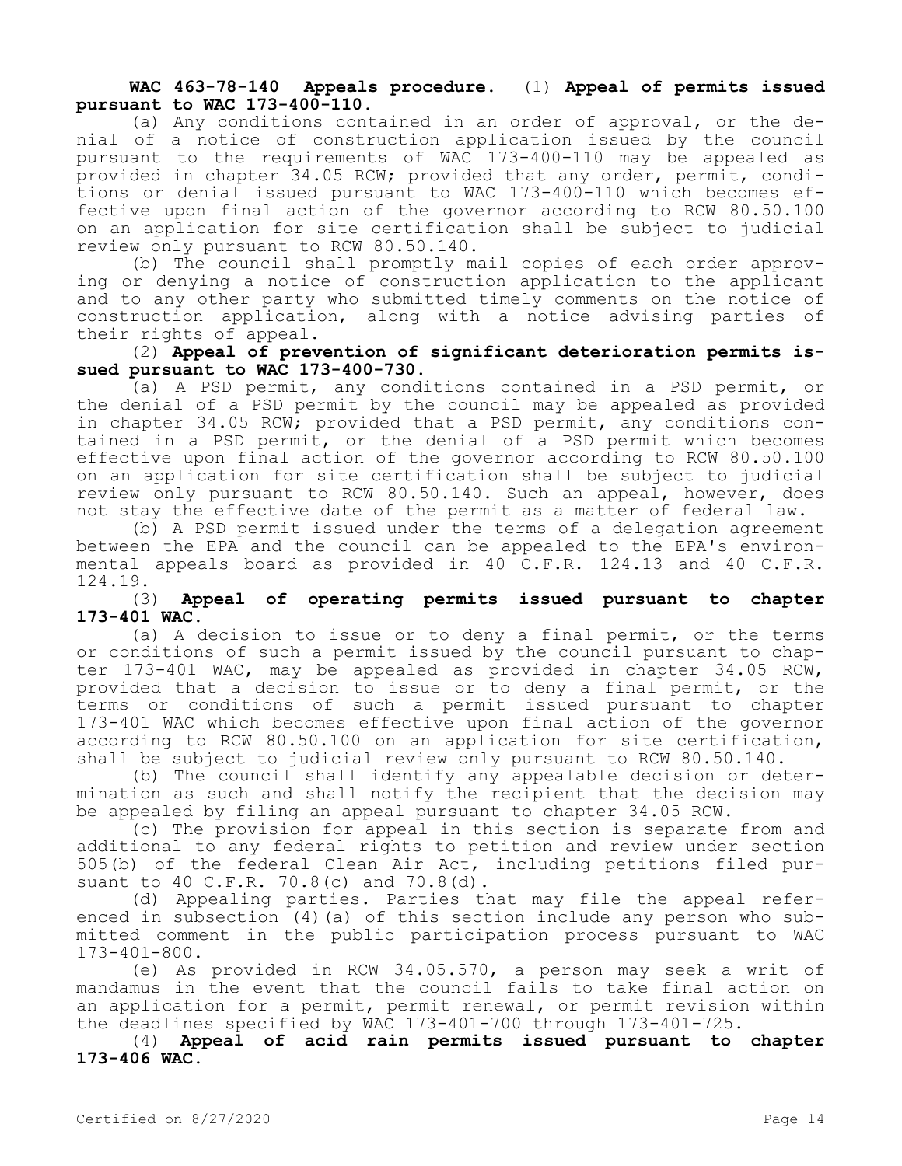## **WAC 463-78-140 Appeals procedure.** (1) **Appeal of permits issued pursuant to WAC 173-400-110.**

(a) Any conditions contained in an order of approval, or the denial of a notice of construction application issued by the council pursuant to the requirements of WAC 173-400-110 may be appealed as provided in chapter 34.05 RCW; provided that any order, permit, conditions or denial issued pursuant to WAC 173-400-110 which becomes effective upon final action of the governor according to RCW 80.50.100 on an application for site certification shall be subject to judicial review only pursuant to RCW 80.50.140.

(b) The council shall promptly mail copies of each order approving or denying a notice of construction application to the applicant and to any other party who submitted timely comments on the notice of construction application, along with a notice advising parties of their rights of appeal.

(2) **Appeal of prevention of significant deterioration permits issued pursuant to WAC 173-400-730.**

(a) A PSD permit, any conditions contained in a PSD permit, or the denial of a PSD permit by the council may be appealed as provided in chapter 34.05 RCW; provided that a PSD permit, any conditions contained in a PSD permit, or the denial of a PSD permit which becomes effective upon final action of the governor according to RCW 80.50.100 on an application for site certification shall be subject to judicial review only pursuant to RCW 80.50.140. Such an appeal, however, does not stay the effective date of the permit as a matter of federal law.

(b) A PSD permit issued under the terms of a delegation agreement between the EPA and the council can be appealed to the EPA's environmental appeals board as provided in 40 C.F.R. 124.13 and 40 C.F.R. 124.19.

### (3) **Appeal of operating permits issued pursuant to chapter 173-401 WAC.**

(a) A decision to issue or to deny a final permit, or the terms or conditions of such a permit issued by the council pursuant to chapter 173-401 WAC, may be appealed as provided in chapter 34.05 RCW, provided that a decision to issue or to deny a final permit, or the terms or conditions of such a permit issued pursuant to chapter 173-401 WAC which becomes effective upon final action of the governor according to RCW 80.50.100 on an application for site certification, shall be subject to judicial review only pursuant to RCW 80.50.140.

(b) The council shall identify any appealable decision or determination as such and shall notify the recipient that the decision may be appealed by filing an appeal pursuant to chapter 34.05 RCW.

(c) The provision for appeal in this section is separate from and additional to any federal rights to petition and review under section 505(b) of the federal Clean Air Act, including petitions filed pursuant to 40 C.F.R. 70.8(c) and 70.8(d).

(d) Appealing parties. Parties that may file the appeal referenced in subsection (4)(a) of this section include any person who submitted comment in the public participation process pursuant to WAC 173-401-800.

(e) As provided in RCW 34.05.570, a person may seek a writ of mandamus in the event that the council fails to take final action on an application for a permit, permit renewal, or permit revision within the deadlines specified by WAC 173-401-700 through 173-401-725.

(4) **Appeal of acid rain permits issued pursuant to chapter 173-406 WAC.**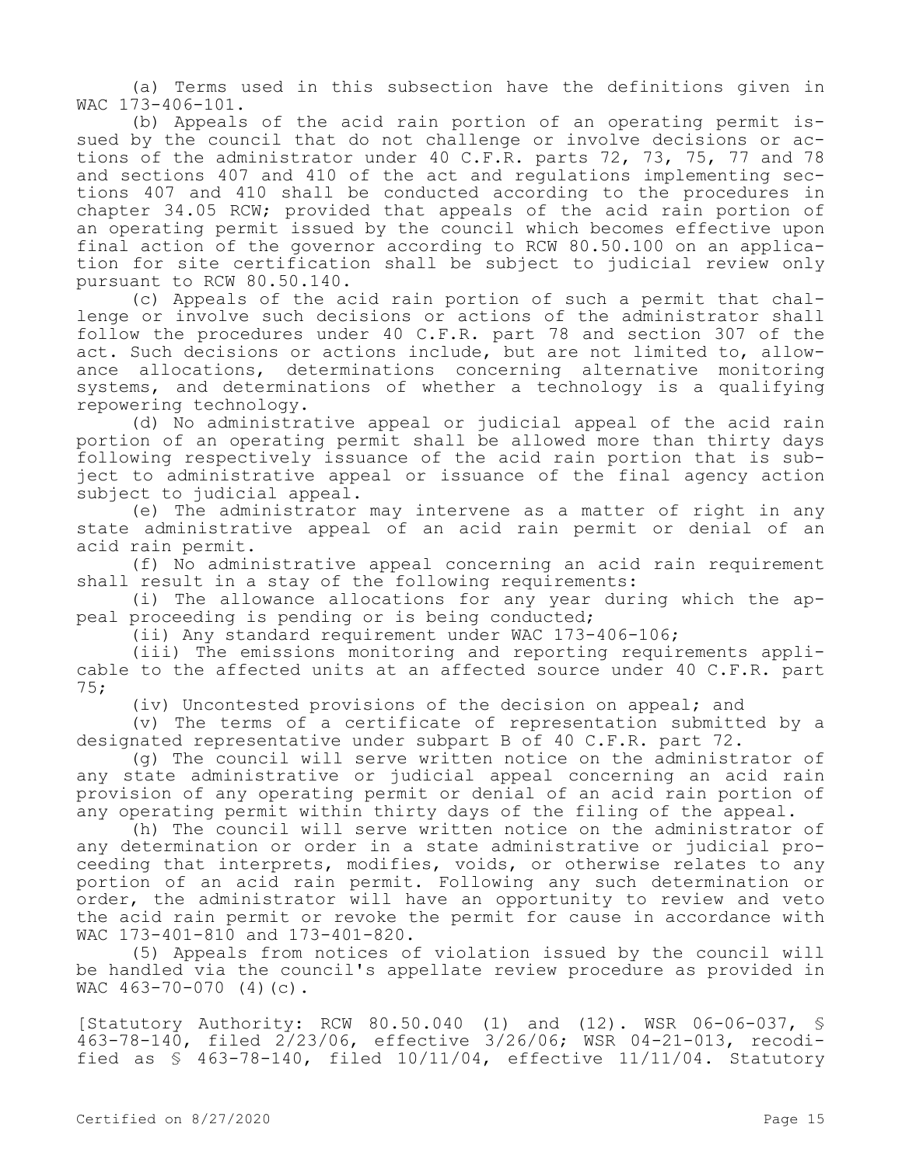(a) Terms used in this subsection have the definitions given in WAC 173-406-101.

(b) Appeals of the acid rain portion of an operating permit issued by the council that do not challenge or involve decisions or actions of the administrator under 40 C.F.R. parts 72, 73, 75, 77 and 78 and sections 407 and 410 of the act and regulations implementing sections 407 and 410 shall be conducted according to the procedures in chapter 34.05 RCW; provided that appeals of the acid rain portion of an operating permit issued by the council which becomes effective upon final action of the governor according to RCW 80.50.100 on an application for site certification shall be subject to judicial review only pursuant to RCW 80.50.140.

(c) Appeals of the acid rain portion of such a permit that challenge or involve such decisions or actions of the administrator shall follow the procedures under 40 C.F.R. part 78 and section 307 of the act. Such decisions or actions include, but are not limited to, allowance allocations, determinations concerning alternative monitoring systems, and determinations of whether a technology is a qualifying repowering technology.

(d) No administrative appeal or judicial appeal of the acid rain portion of an operating permit shall be allowed more than thirty days following respectively issuance of the acid rain portion that is subject to administrative appeal or issuance of the final agency action subject to judicial appeal.

(e) The administrator may intervene as a matter of right in any state administrative appeal of an acid rain permit or denial of an acid rain permit.

(f) No administrative appeal concerning an acid rain requirement shall result in a stay of the following requirements:

(i) The allowance allocations for any year during which the appeal proceeding is pending or is being conducted;

(ii) Any standard requirement under WAC 173-406-106;

(iii) The emissions monitoring and reporting requirements applicable to the affected units at an affected source under 40 C.F.R. part 75;

(iv) Uncontested provisions of the decision on appeal; and

(v) The terms of a certificate of representation submitted by a designated representative under subpart B of 40 C.F.R. part 72.

(g) The council will serve written notice on the administrator of any state administrative or judicial appeal concerning an acid rain provision of any operating permit or denial of an acid rain portion of any operating permit within thirty days of the filing of the appeal.

(h) The council will serve written notice on the administrator of any determination or order in a state administrative or judicial proceeding that interprets, modifies, voids, or otherwise relates to any portion of an acid rain permit. Following any such determination or order, the administrator will have an opportunity to review and veto the acid rain permit or revoke the permit for cause in accordance with WAC 173-401-810 and 173-401-820.

(5) Appeals from notices of violation issued by the council will be handled via the council's appellate review procedure as provided in WAC 463-70-070 (4)(c).

[Statutory Authority: RCW 80.50.040 (1) and (12). WSR 06-06-037, § 463-78-140, filed 2/23/06, effective 3/26/06; WSR 04-21-013, recodified as § 463-78-140, filed 10/11/04, effective 11/11/04. Statutory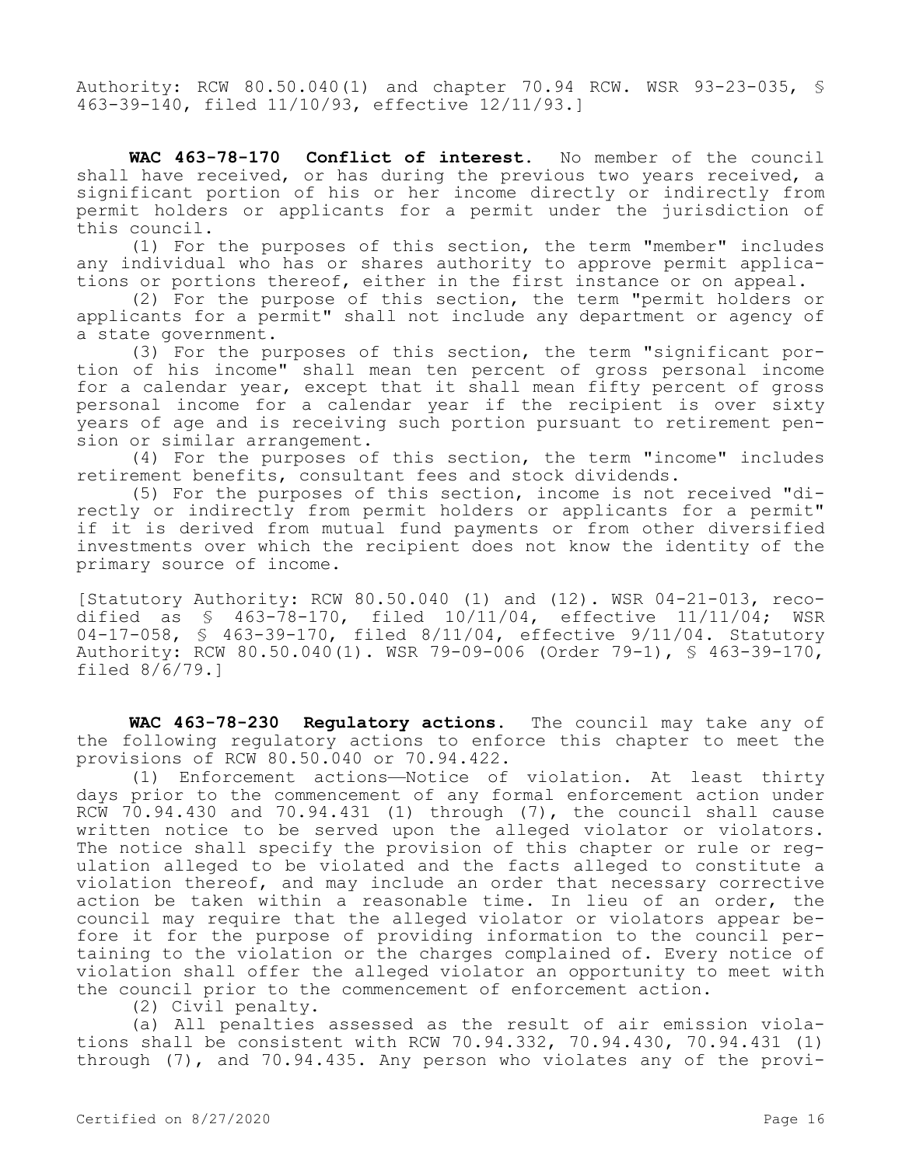Authority: RCW 80.50.040(1) and chapter 70.94 RCW. WSR 93-23-035, § 463-39-140, filed 11/10/93, effective 12/11/93.]

**WAC 463-78-170 Conflict of interest.** No member of the council shall have received, or has during the previous two years received, a significant portion of his or her income directly or indirectly from permit holders or applicants for a permit under the jurisdiction of this council.

(1) For the purposes of this section, the term "member" includes any individual who has or shares authority to approve permit applications or portions thereof, either in the first instance or on appeal.

(2) For the purpose of this section, the term "permit holders or applicants for a permit" shall not include any department or agency of a state government.

(3) For the purposes of this section, the term "significant portion of his income" shall mean ten percent of gross personal income for a calendar year, except that it shall mean fifty percent of gross personal income for a calendar year if the recipient is over sixty years of age and is receiving such portion pursuant to retirement pension or similar arrangement.

(4) For the purposes of this section, the term "income" includes retirement benefits, consultant fees and stock dividends.

(5) For the purposes of this section, income is not received "directly or indirectly from permit holders or applicants for a permit" if it is derived from mutual fund payments or from other diversified investments over which the recipient does not know the identity of the primary source of income.

[Statutory Authority: RCW 80.50.040 (1) and (12). WSR 04-21-013, recodified as § 463-78-170, filed 10/11/04, effective 11/11/04; WSR 04-17-058, § 463-39-170, filed 8/11/04, effective 9/11/04. Statutory Authority: RCW 80.50.040(1). WSR 79-09-006 (Order 79-1), § 463-39-170, filed 8/6/79.]

**WAC 463-78-230 Regulatory actions.** The council may take any of the following regulatory actions to enforce this chapter to meet the provisions of RCW 80.50.040 or 70.94.422.

(1) Enforcement actions—Notice of violation. At least thirty days prior to the commencement of any formal enforcement action under RCW 70.94.430 and 70.94.431 (1) through (7), the council shall cause written notice to be served upon the alleged violator or violators. The notice shall specify the provision of this chapter or rule or regulation alleged to be violated and the facts alleged to constitute a violation thereof, and may include an order that necessary corrective action be taken within a reasonable time. In lieu of an order, the council may require that the alleged violator or violators appear before it for the purpose of providing information to the council pertaining to the violation or the charges complained of. Every notice of violation shall offer the alleged violator an opportunity to meet with the council prior to the commencement of enforcement action.

(2) Civil penalty.

(a) All penalties assessed as the result of air emission violations shall be consistent with RCW 70.94.332, 70.94.430, 70.94.431 (1) through (7), and 70.94.435. Any person who violates any of the provi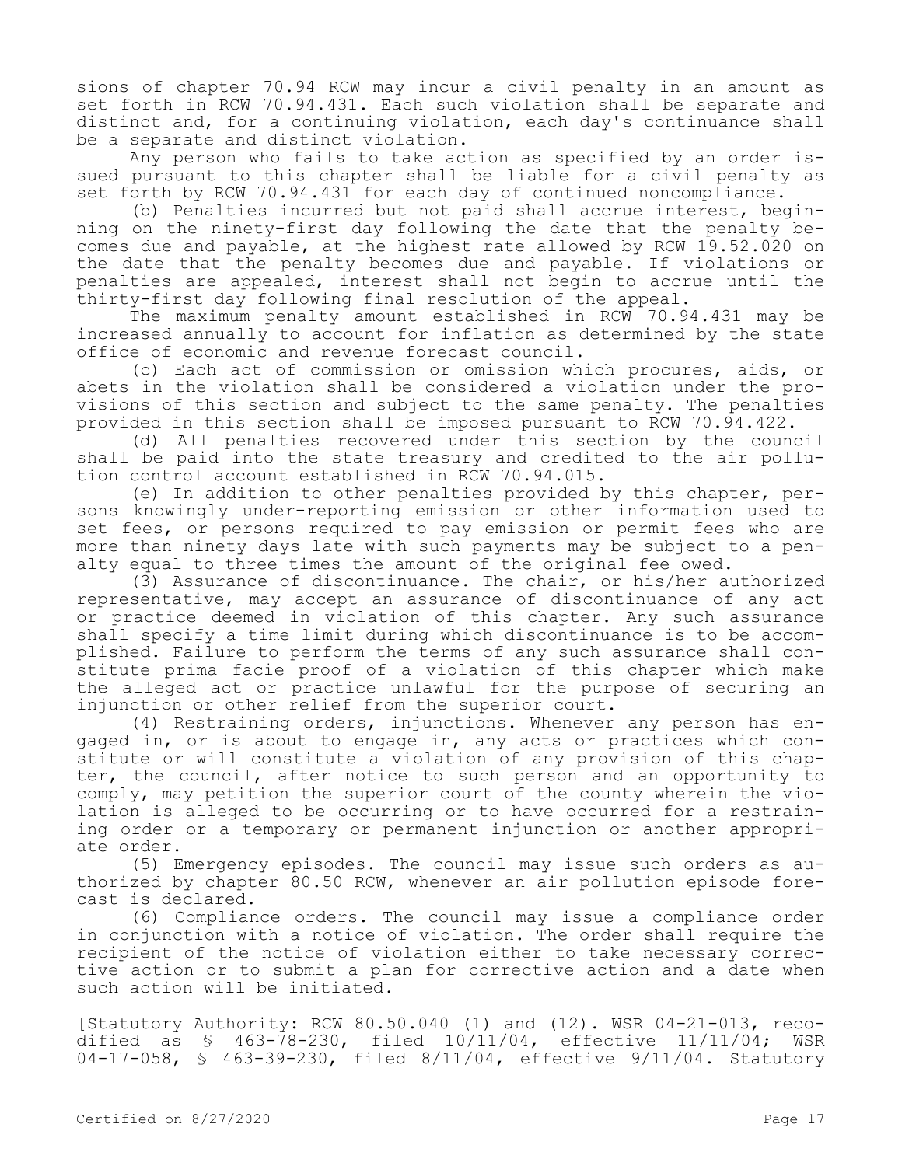sions of chapter 70.94 RCW may incur a civil penalty in an amount as set forth in RCW 70.94.431. Each such violation shall be separate and distinct and, for a continuing violation, each day's continuance shall be a separate and distinct violation.

Any person who fails to take action as specified by an order issued pursuant to this chapter shall be liable for a civil penalty as set forth by RCW 70.94.431 for each day of continued noncompliance.

(b) Penalties incurred but not paid shall accrue interest, beginning on the ninety-first day following the date that the penalty becomes due and payable, at the highest rate allowed by RCW 19.52.020 on the date that the penalty becomes due and payable. If violations or penalties are appealed, interest shall not begin to accrue until the thirty-first day following final resolution of the appeal.

The maximum penalty amount established in RCW 70.94.431 may be increased annually to account for inflation as determined by the state office of economic and revenue forecast council.

(c) Each act of commission or omission which procures, aids, or abets in the violation shall be considered a violation under the provisions of this section and subject to the same penalty. The penalties provided in this section shall be imposed pursuant to RCW 70.94.422.

(d) All penalties recovered under this section by the council shall be paid into the state treasury and credited to the air pollution control account established in RCW 70.94.015.

(e) In addition to other penalties provided by this chapter, persons knowingly under-reporting emission or other information used to set fees, or persons required to pay emission or permit fees who are more than ninety days late with such payments may be subject to a penalty equal to three times the amount of the original fee owed.

(3) Assurance of discontinuance. The chair, or his/her authorized representative, may accept an assurance of discontinuance of any act or practice deemed in violation of this chapter. Any such assurance shall specify a time limit during which discontinuance is to be accomplished. Failure to perform the terms of any such assurance shall constitute prima facie proof of a violation of this chapter which make the alleged act or practice unlawful for the purpose of securing an injunction or other relief from the superior court.

(4) Restraining orders, injunctions. Whenever any person has engaged in, or is about to engage in, any acts or practices which constitute or will constitute a violation of any provision of this chapter, the council, after notice to such person and an opportunity to comply, may petition the superior court of the county wherein the violation is alleged to be occurring or to have occurred for a restraining order or a temporary or permanent injunction or another appropriate order.

(5) Emergency episodes. The council may issue such orders as authorized by chapter 80.50 RCW, whenever an air pollution episode forecast is declared.

(6) Compliance orders. The council may issue a compliance order in conjunction with a notice of violation. The order shall require the recipient of the notice of violation either to take necessary corrective action or to submit a plan for corrective action and a date when such action will be initiated.

[Statutory Authority: RCW 80.50.040 (1) and (12). WSR 04-21-013, recodified as § 463-78-230, filed 10/11/04, effective 11/11/04; WSR 04-17-058, § 463-39-230, filed 8/11/04, effective 9/11/04. Statutory